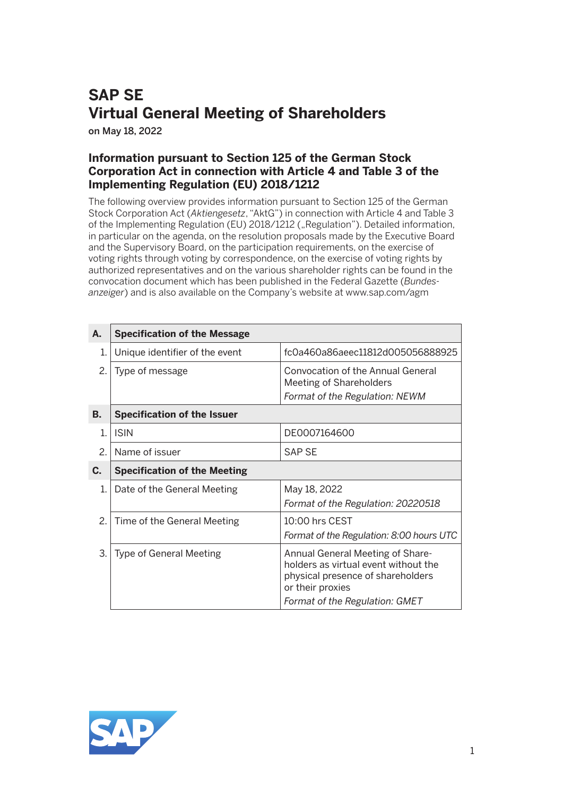## **SAP SE Virtual General Meeting of Shareholders**

on May 18, 2022

## **Information pursuant to Section 125 of the German Stock Corporation Act in connection with Article 4 and Table 3 of the Implementing Regulation (EU) 2018/1212**

The following overview provides information pursuant to Section 125 of the German Stock Corporation Act (*Aktiengesetz*, "AktG") in connection with Article 4 and Table 3 of the Implementing Regulation (EU) 2018/1212 ("Regulation"). Detailed information, in particular on the agenda, on the resolution proposals made by the Executive Board and the Supervisory Board, on the participation requirements, on the exercise of voting rights through voting by correspondence, on the exercise of voting rights by authorized representatives and on the various shareholder rights can be found in the convocation document which has been published in the Federal Gazette (*Bundesanzeiger*) and is also available on the Company's website at www.sap.com/agm

| А.            | <b>Specification of the Message</b> |                                                                                                                                                                     |
|---------------|-------------------------------------|---------------------------------------------------------------------------------------------------------------------------------------------------------------------|
| 1.            | Unique identifier of the event      | fc0a460a86aeec11812d005056888925                                                                                                                                    |
| 2.            | Type of message                     | Convocation of the Annual General<br>Meeting of Shareholders<br>Format of the Regulation: NEWM                                                                      |
| <b>B.</b>     | <b>Specification of the Issuer</b>  |                                                                                                                                                                     |
| $\mathbf{1}$  | <b>ISIN</b>                         | DE0007164600                                                                                                                                                        |
| $\mathcal{P}$ | Name of issuer                      | <b>SAP SE</b>                                                                                                                                                       |
| C.            | <b>Specification of the Meeting</b> |                                                                                                                                                                     |
| $1_{-}$       | Date of the General Meeting         | May 18, 2022<br>Format of the Regulation: 20220518                                                                                                                  |
| 2.1           | Time of the General Meeting         | $10:00$ hrs CEST<br>Format of the Regulation: 8:00 hours UTC                                                                                                        |
| 3.            | <b>Type of General Meeting</b>      | Annual General Meeting of Share-<br>holders as virtual event without the<br>physical presence of shareholders<br>or their proxies<br>Format of the Regulation: GMET |

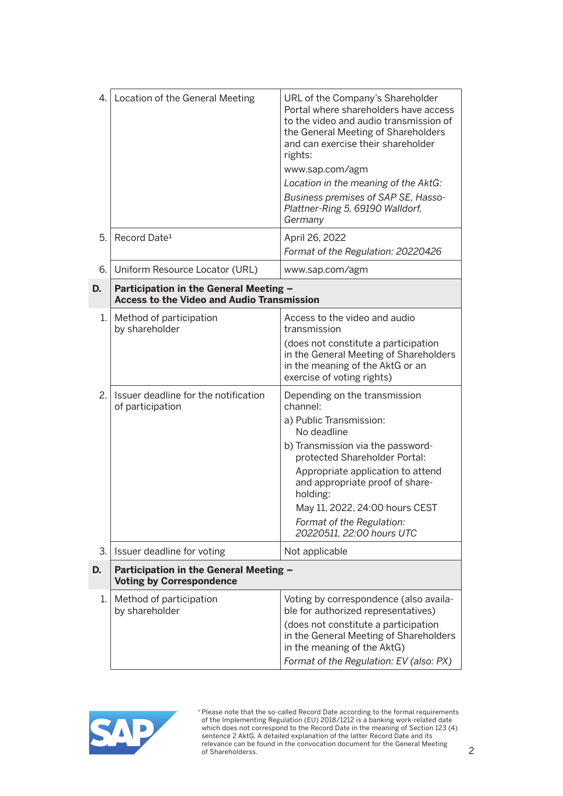| 4. | Location of the General Meeting                                                             | URL of the Company's Shareholder<br>Portal where shareholders have access<br>to the video and audio transmission of<br>the General Meeting of Shareholders<br>and can exercise their shareholder<br>rights:<br>www.sap.com/agm            |
|----|---------------------------------------------------------------------------------------------|-------------------------------------------------------------------------------------------------------------------------------------------------------------------------------------------------------------------------------------------|
|    |                                                                                             | Location in the meaning of the AktG:                                                                                                                                                                                                      |
|    |                                                                                             | Business premises of SAP SE, Hasso-<br>Plattner-Ring 5, 69190 Walldorf,<br>Germany                                                                                                                                                        |
| 5. | Record Date <sup>1</sup>                                                                    | April 26, 2022<br>Format of the Regulation: 20220426                                                                                                                                                                                      |
| 6. | Uniform Resource Locator (URL)                                                              | www.sap.com/agm                                                                                                                                                                                                                           |
| D. | Participation in the General Meeting -<br><b>Access to the Video and Audio Transmission</b> |                                                                                                                                                                                                                                           |
| 1. | Method of participation<br>by shareholder                                                   | Access to the video and audio<br>transmission                                                                                                                                                                                             |
|    |                                                                                             | (does not constitute a participation<br>in the General Meeting of Shareholders<br>in the meaning of the AktG or an<br>exercise of voting rights)                                                                                          |
| 2. | Issuer deadline for the notification<br>of participation                                    | Depending on the transmission<br>channel:<br>a) Public Transmission:<br>No deadline<br>b) Transmission via the password-<br>protected Shareholder Portal:<br>Appropriate application to attend                                            |
|    |                                                                                             | and appropriate proof of share-<br>holding:<br>May 11, 2022, 24:00 hours CEST<br>Format of the Regulation:                                                                                                                                |
|    |                                                                                             | 20220511, 22:00 hours UTC                                                                                                                                                                                                                 |
| 3. | Issuer deadline for voting                                                                  | Not applicable                                                                                                                                                                                                                            |
| D. | Participation in the General Meeting -<br><b>Voting by Correspondence</b>                   |                                                                                                                                                                                                                                           |
| 1. | Method of participation<br>by shareholder                                                   | Voting by correspondence (also availa-<br>ble for authorized representatives)<br>(does not constitute a participation<br>in the General Meeting of Shareholders<br>in the meaning of the AktG)<br>Format of the Regulation: EV (also: PX) |

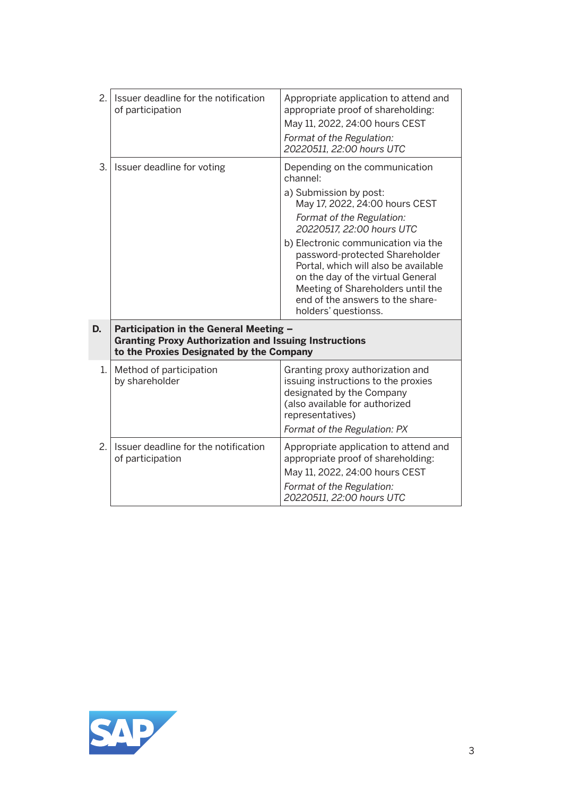| 2. | Issuer deadline for the notification<br>of participation                                                                                           | Appropriate application to attend and<br>appropriate proof of shareholding:<br>May 11, 2022, 24:00 hours CEST<br>Format of the Regulation:<br>20220511, 22:00 hours UTC                                                                                                                                                                                                                                                 |
|----|----------------------------------------------------------------------------------------------------------------------------------------------------|-------------------------------------------------------------------------------------------------------------------------------------------------------------------------------------------------------------------------------------------------------------------------------------------------------------------------------------------------------------------------------------------------------------------------|
| 3. | Issuer deadline for voting                                                                                                                         | Depending on the communication<br>channel:<br>a) Submission by post:<br>May 17, 2022, 24:00 hours CEST<br>Format of the Regulation:<br>20220517, 22:00 hours UTC<br>b) Electronic communication via the<br>password-protected Shareholder<br>Portal, which will also be available<br>on the day of the virtual General<br>Meeting of Shareholders until the<br>end of the answers to the share-<br>holders' questionss. |
| D. | Participation in the General Meeting -<br><b>Granting Proxy Authorization and Issuing Instructions</b><br>to the Proxies Designated by the Company |                                                                                                                                                                                                                                                                                                                                                                                                                         |
| 1. | Method of participation<br>by shareholder                                                                                                          | Granting proxy authorization and<br>issuing instructions to the proxies<br>designated by the Company<br>(also available for authorized<br>representatives)<br>Format of the Regulation: PX                                                                                                                                                                                                                              |
| 2. | Issuer deadline for the notification<br>of participation                                                                                           | Appropriate application to attend and<br>appropriate proof of shareholding:<br>May 11, 2022, 24:00 hours CEST<br>Format of the Regulation:<br>20220511, 22:00 hours UTC                                                                                                                                                                                                                                                 |

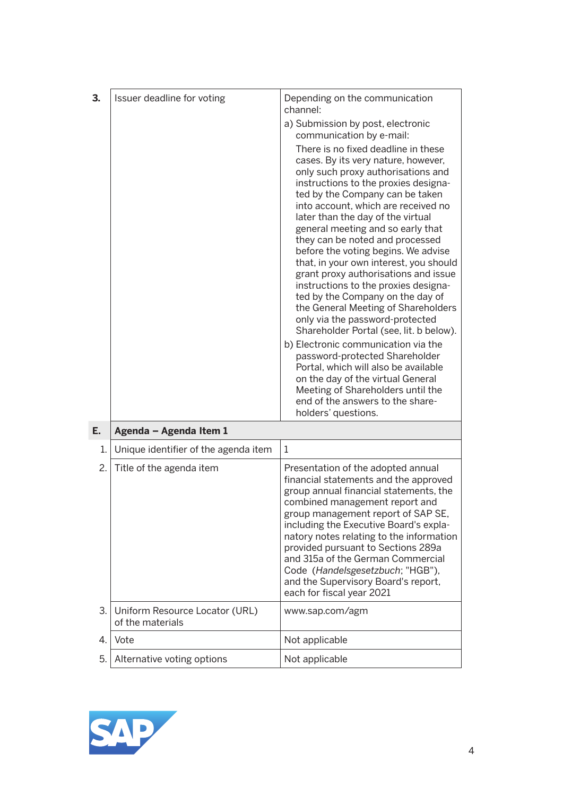| 3. | Issuer deadline for voting                         | Depending on the communication<br>channel:                                                                                                                                                                                                                                                                                                                                                                                                                                                                                                                                                                                                                                                                                                                                                                                                                                                                                      |
|----|----------------------------------------------------|---------------------------------------------------------------------------------------------------------------------------------------------------------------------------------------------------------------------------------------------------------------------------------------------------------------------------------------------------------------------------------------------------------------------------------------------------------------------------------------------------------------------------------------------------------------------------------------------------------------------------------------------------------------------------------------------------------------------------------------------------------------------------------------------------------------------------------------------------------------------------------------------------------------------------------|
|    |                                                    | a) Submission by post, electronic<br>communication by e-mail:                                                                                                                                                                                                                                                                                                                                                                                                                                                                                                                                                                                                                                                                                                                                                                                                                                                                   |
|    |                                                    | There is no fixed deadline in these<br>cases. By its very nature, however,<br>only such proxy authorisations and<br>instructions to the proxies designa-<br>ted by the Company can be taken<br>into account, which are received no<br>later than the day of the virtual<br>general meeting and so early that<br>they can be noted and processed<br>before the voting begins. We advise<br>that, in your own interest, you should<br>grant proxy authorisations and issue<br>instructions to the proxies designa-<br>ted by the Company on the day of<br>the General Meeting of Shareholders<br>only via the password-protected<br>Shareholder Portal (see, lit. b below).<br>b) Electronic communication via the<br>password-protected Shareholder<br>Portal, which will also be available<br>on the day of the virtual General<br>Meeting of Shareholders until the<br>end of the answers to the share-<br>holders' questions. |
| E. | Agenda - Agenda Item 1                             |                                                                                                                                                                                                                                                                                                                                                                                                                                                                                                                                                                                                                                                                                                                                                                                                                                                                                                                                 |
| 1. | Unique identifier of the agenda item               | 1                                                                                                                                                                                                                                                                                                                                                                                                                                                                                                                                                                                                                                                                                                                                                                                                                                                                                                                               |
| 2. | Title of the agenda item                           | Presentation of the adopted annual<br>financial statements and the approved<br>group annual financial statements, the<br>combined management report and<br>group management report of SAP SE,<br>including the Executive Board's expla-<br>natory notes relating to the information<br>provided pursuant to Sections 289a<br>and 315a of the German Commercial<br>Code (Handelsgesetzbuch; "HGB"),<br>and the Supervisory Board's report,<br>each for fiscal year 2021                                                                                                                                                                                                                                                                                                                                                                                                                                                          |
| 3. | Uniform Resource Locator (URL)<br>of the materials | www.sap.com/agm                                                                                                                                                                                                                                                                                                                                                                                                                                                                                                                                                                                                                                                                                                                                                                                                                                                                                                                 |
| 4. | Vote                                               | Not applicable                                                                                                                                                                                                                                                                                                                                                                                                                                                                                                                                                                                                                                                                                                                                                                                                                                                                                                                  |
| 5. | Alternative voting options                         | Not applicable                                                                                                                                                                                                                                                                                                                                                                                                                                                                                                                                                                                                                                                                                                                                                                                                                                                                                                                  |

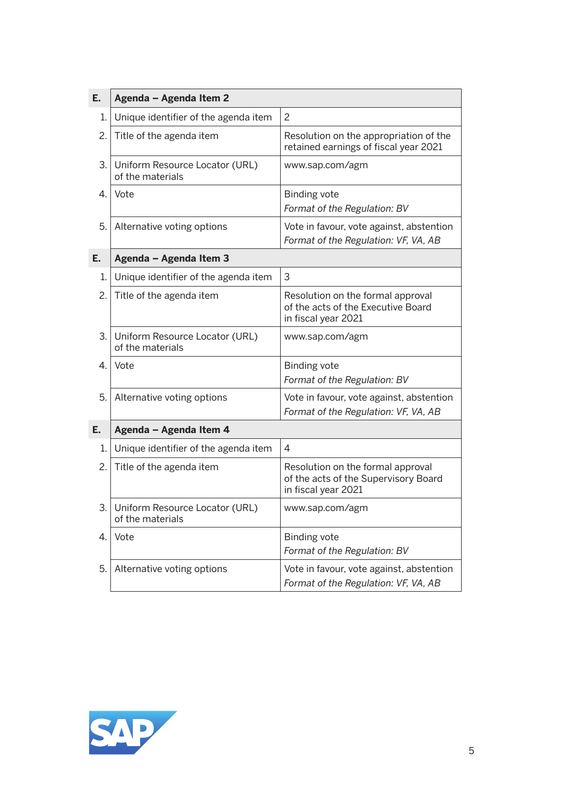| E. | Agenda - Agenda Item 2                             |                                                                                                  |
|----|----------------------------------------------------|--------------------------------------------------------------------------------------------------|
| 1. | Unique identifier of the agenda item               | $\overline{c}$                                                                                   |
| 2. | Title of the agenda item                           | Resolution on the appropriation of the<br>retained earnings of fiscal year 2021                  |
| 3. | Uniform Resource Locator (URL)<br>of the materials | www.sap.com/agm                                                                                  |
| 4. | Vote                                               | <b>Binding vote</b><br>Format of the Regulation: BV                                              |
| 5. | Alternative voting options                         | Vote in favour, vote against, abstention<br>Format of the Regulation: VF, VA, AB                 |
| Ε. | Agenda - Agenda Item 3                             |                                                                                                  |
| 1. | Unique identifier of the agenda item               | 3                                                                                                |
| 2. | Title of the agenda item                           | Resolution on the formal approval<br>of the acts of the Executive Board<br>in fiscal year 2021   |
| 3. | Uniform Resource Locator (URL)<br>of the materials | www.sap.com/agm                                                                                  |
| 4. | Vote                                               | <b>Binding vote</b><br>Format of the Regulation: BV                                              |
| 5. | Alternative voting options                         | Vote in favour, vote against, abstention<br>Format of the Regulation: VF, VA, AB                 |
| Е. | Agenda - Agenda Item 4                             |                                                                                                  |
| 1. | Unique identifier of the agenda item               | $\overline{4}$                                                                                   |
| 2. | Title of the agenda item                           | Resolution on the formal approval<br>of the acts of the Supervisory Board<br>in fiscal year 2021 |
| 3. | Uniform Resource Locator (URL)<br>of the materials | www.sap.com/agm                                                                                  |
| 4. | Vote                                               | <b>Binding vote</b><br>Format of the Regulation: BV                                              |
| 5. | Alternative voting options                         | Vote in favour, vote against, abstention<br>Format of the Regulation: VF, VA, AB                 |

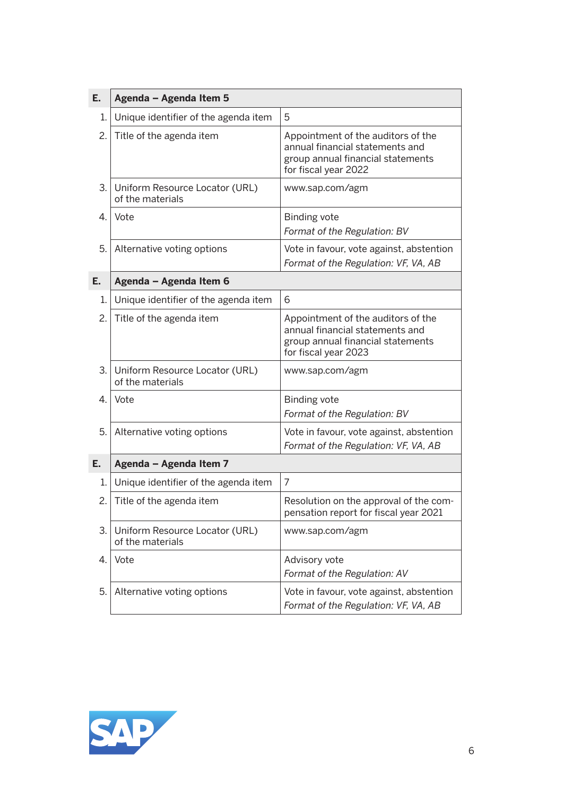| Ε. | Agenda - Agenda Item 5                             |                                                                                                                                    |
|----|----------------------------------------------------|------------------------------------------------------------------------------------------------------------------------------------|
| 1. | Unique identifier of the agenda item               | 5                                                                                                                                  |
| 2. | Title of the agenda item                           | Appointment of the auditors of the<br>annual financial statements and<br>group annual financial statements<br>for fiscal year 2022 |
| 3. | Uniform Resource Locator (URL)<br>of the materials | www.sap.com/agm                                                                                                                    |
| 4. | Vote                                               | <b>Binding vote</b><br>Format of the Regulation: BV                                                                                |
| 5. | Alternative voting options                         | Vote in favour, vote against, abstention<br>Format of the Regulation: VF, VA, AB                                                   |
| Е. | Agenda - Agenda Item 6                             |                                                                                                                                    |
| 1. | Unique identifier of the agenda item               | 6                                                                                                                                  |
| 2. | Title of the agenda item                           | Appointment of the auditors of the<br>annual financial statements and<br>group annual financial statements<br>for fiscal year 2023 |
| 3. | Uniform Resource Locator (URL)<br>of the materials | www.sap.com/agm                                                                                                                    |
| 4. | Vote                                               | <b>Binding vote</b><br>Format of the Regulation: BV                                                                                |
| 5. | Alternative voting options                         | Vote in favour, vote against, abstention<br>Format of the Regulation: VF, VA, AB                                                   |
| Е. | Agenda - Agenda Item 7                             |                                                                                                                                    |
| 1. | Unique identifier of the agenda item               | 7                                                                                                                                  |
| 2. | Title of the agenda item                           | Resolution on the approval of the com-<br>pensation report for fiscal year 2021                                                    |
| 3. | Uniform Resource Locator (URL)<br>of the materials | www.sap.com/agm                                                                                                                    |
| 4. | Vote                                               | Advisory vote<br>Format of the Regulation: AV                                                                                      |
| 5. | Alternative voting options                         | Vote in favour, vote against, abstention<br>Format of the Regulation: VF, VA, AB                                                   |

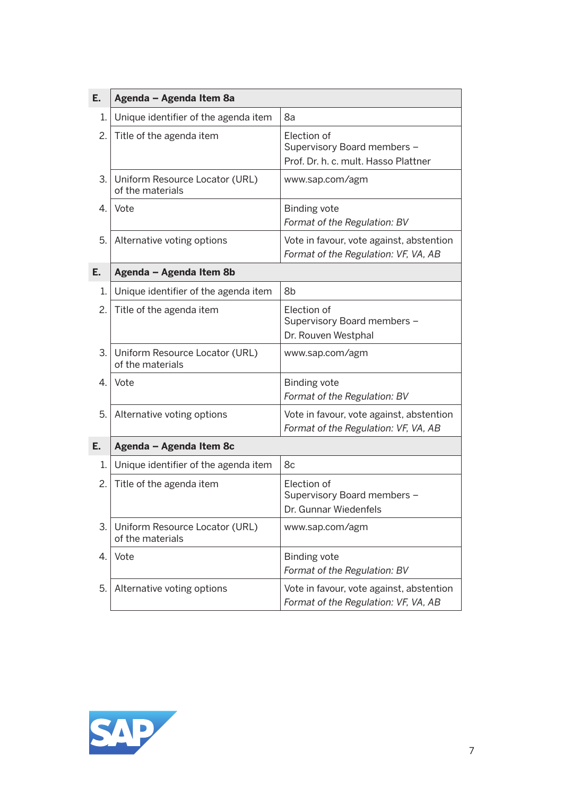| E. | Agenda - Agenda Item 8a                            |                                                                                    |
|----|----------------------------------------------------|------------------------------------------------------------------------------------|
| 1. | Unique identifier of the agenda item               | 8a                                                                                 |
| 2. | Title of the agenda item                           | Election of<br>Supervisory Board members -<br>Prof. Dr. h. c. mult. Hasso Plattner |
| 3. | Uniform Resource Locator (URL)<br>of the materials | www.sap.com/agm                                                                    |
| 4. | Vote                                               | <b>Binding vote</b><br>Format of the Regulation: BV                                |
| 5. | Alternative voting options                         | Vote in favour, vote against, abstention<br>Format of the Regulation: VF, VA, AB   |
| E. | Agenda - Agenda Item 8b                            |                                                                                    |
| 1. | Unique identifier of the agenda item               | 8b                                                                                 |
| 2. | Title of the agenda item                           | Election of<br>Supervisory Board members -<br>Dr. Rouven Westphal                  |
| 3. | Uniform Resource Locator (URL)<br>of the materials | www.sap.com/agm                                                                    |
| 4. | Vote                                               | <b>Binding vote</b><br>Format of the Regulation: BV                                |
| 5. | Alternative voting options                         | Vote in favour, vote against, abstention<br>Format of the Regulation: VF, VA, AB   |
| E. | Agenda - Agenda Item 8c                            |                                                                                    |
| 1. | Unique identifier of the agenda item               | 8c                                                                                 |
| 2. | Title of the agenda item                           | Election of<br>Supervisory Board members -<br>Dr. Gunnar Wiedenfels                |
| З. | Uniform Resource Locator (URL)<br>of the materials | www.sap.com/agm                                                                    |
| 4. | Vote                                               | <b>Binding vote</b><br>Format of the Regulation: BV                                |
| 5. | Alternative voting options                         | Vote in favour, vote against, abstention<br>Format of the Regulation: VF, VA, AB   |

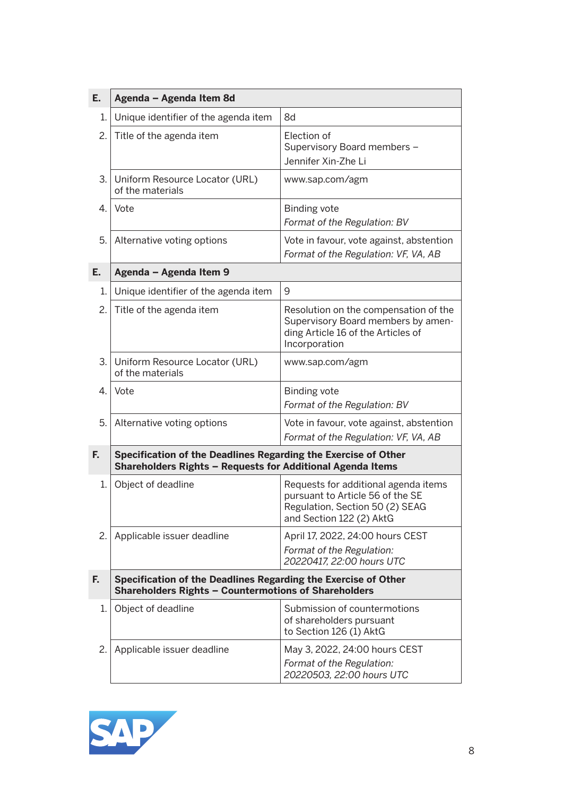| Ε. | Agenda - Agenda Item 8d                                                                                                       |                                                                                                                                         |
|----|-------------------------------------------------------------------------------------------------------------------------------|-----------------------------------------------------------------------------------------------------------------------------------------|
| 1. | Unique identifier of the agenda item                                                                                          | 8d                                                                                                                                      |
| 2. | Title of the agenda item                                                                                                      | Election of<br>Supervisory Board members -<br>Jennifer Xin-Zhe Li                                                                       |
| 3. | Uniform Resource Locator (URL)<br>of the materials                                                                            | www.sap.com/agm                                                                                                                         |
| 4. | Vote                                                                                                                          | <b>Binding vote</b><br>Format of the Regulation: BV                                                                                     |
| 5. | Alternative voting options                                                                                                    | Vote in favour, vote against, abstention<br>Format of the Regulation: VF, VA, AB                                                        |
| Е. | Agenda - Agenda Item 9                                                                                                        |                                                                                                                                         |
| 1. | Unique identifier of the agenda item                                                                                          | 9                                                                                                                                       |
| 2. | Title of the agenda item                                                                                                      | Resolution on the compensation of the<br>Supervisory Board members by amen-<br>ding Article 16 of the Articles of<br>Incorporation      |
| 3. | Uniform Resource Locator (URL)<br>of the materials                                                                            | www.sap.com/agm                                                                                                                         |
| 4. | Vote                                                                                                                          | <b>Binding vote</b><br>Format of the Regulation: BV                                                                                     |
| 5. | Alternative voting options                                                                                                    | Vote in favour, vote against, abstention<br>Format of the Regulation: VF, VA, AB                                                        |
| F. | Specification of the Deadlines Regarding the Exercise of Other<br>Shareholders Rights - Requests for Additional Agenda Items  |                                                                                                                                         |
| 1. | Object of deadline                                                                                                            | Requests for additional agenda items<br>pursuant to Article 56 of the SE<br>Regulation, Section 50 (2) SEAG<br>and Section 122 (2) AktG |
| 2. | Applicable issuer deadline                                                                                                    | April 17, 2022, 24:00 hours CEST<br>Format of the Regulation:<br>20220417, 22:00 hours UTC                                              |
| F. | Specification of the Deadlines Regarding the Exercise of Other<br><b>Shareholders Rights - Countermotions of Shareholders</b> |                                                                                                                                         |
| 1. | Object of deadline                                                                                                            | Submission of countermotions<br>of shareholders pursuant<br>to Section 126 (1) AktG                                                     |
| 2. | Applicable issuer deadline                                                                                                    | May 3, 2022, 24:00 hours CEST<br>Format of the Regulation:<br>20220503, 22:00 hours UTC                                                 |

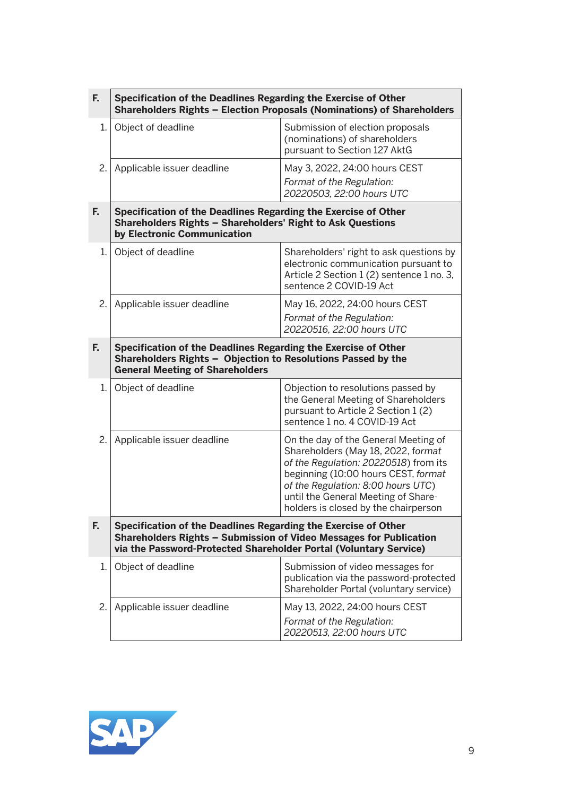| F.   | Specification of the Deadlines Regarding the Exercise of Other<br>Shareholders Rights - Election Proposals (Nominations) of Shareholders                                                                  |                                                                                                                                                                                                                                                                                 |  |
|------|-----------------------------------------------------------------------------------------------------------------------------------------------------------------------------------------------------------|---------------------------------------------------------------------------------------------------------------------------------------------------------------------------------------------------------------------------------------------------------------------------------|--|
| 1.   | Object of deadline                                                                                                                                                                                        | Submission of election proposals<br>(nominations) of shareholders<br>pursuant to Section 127 AktG                                                                                                                                                                               |  |
| 2.   | Applicable issuer deadline                                                                                                                                                                                | May 3, 2022, 24:00 hours CEST<br>Format of the Regulation:<br>20220503, 22:00 hours UTC                                                                                                                                                                                         |  |
| F.   | Specification of the Deadlines Regarding the Exercise of Other<br>Shareholders Rights - Shareholders' Right to Ask Questions<br>by Electronic Communication                                               |                                                                                                                                                                                                                                                                                 |  |
| 1. I | Object of deadline                                                                                                                                                                                        | Shareholders' right to ask questions by<br>electronic communication pursuant to<br>Article 2 Section 1 (2) sentence 1 no. 3,<br>sentence 2 COVID-19 Act                                                                                                                         |  |
| 2.   | Applicable issuer deadline                                                                                                                                                                                | May 16, 2022, 24:00 hours CEST<br>Format of the Regulation:<br>20220516, 22:00 hours UTC                                                                                                                                                                                        |  |
| F.   | Specification of the Deadlines Regarding the Exercise of Other<br>Shareholders Rights - Objection to Resolutions Passed by the<br><b>General Meeting of Shareholders</b>                                  |                                                                                                                                                                                                                                                                                 |  |
| 1. I | Object of deadline                                                                                                                                                                                        | Objection to resolutions passed by<br>the General Meeting of Shareholders<br>pursuant to Article 2 Section 1(2)<br>sentence 1 no. 4 COVID-19 Act                                                                                                                                |  |
| 2.   | Applicable issuer deadline                                                                                                                                                                                | On the day of the General Meeting of<br>Shareholders (May 18, 2022, format<br>of the Regulation: 20220518) from its<br>beginning (10:00 hours CEST, format<br>of the Regulation: 8:00 hours UTC)<br>until the General Meeting of Share-<br>holders is closed by the chairperson |  |
| F.   | Specification of the Deadlines Regarding the Exercise of Other<br>Shareholders Rights - Submission of Video Messages for Publication<br>via the Password-Protected Shareholder Portal (Voluntary Service) |                                                                                                                                                                                                                                                                                 |  |
| 1.1  | Object of deadline                                                                                                                                                                                        | Submission of video messages for<br>publication via the password-protected<br>Shareholder Portal (voluntary service)                                                                                                                                                            |  |
| 2.   | Applicable issuer deadline                                                                                                                                                                                | May 13, 2022, 24:00 hours CEST<br>Format of the Regulation:<br>20220513, 22:00 hours UTC                                                                                                                                                                                        |  |